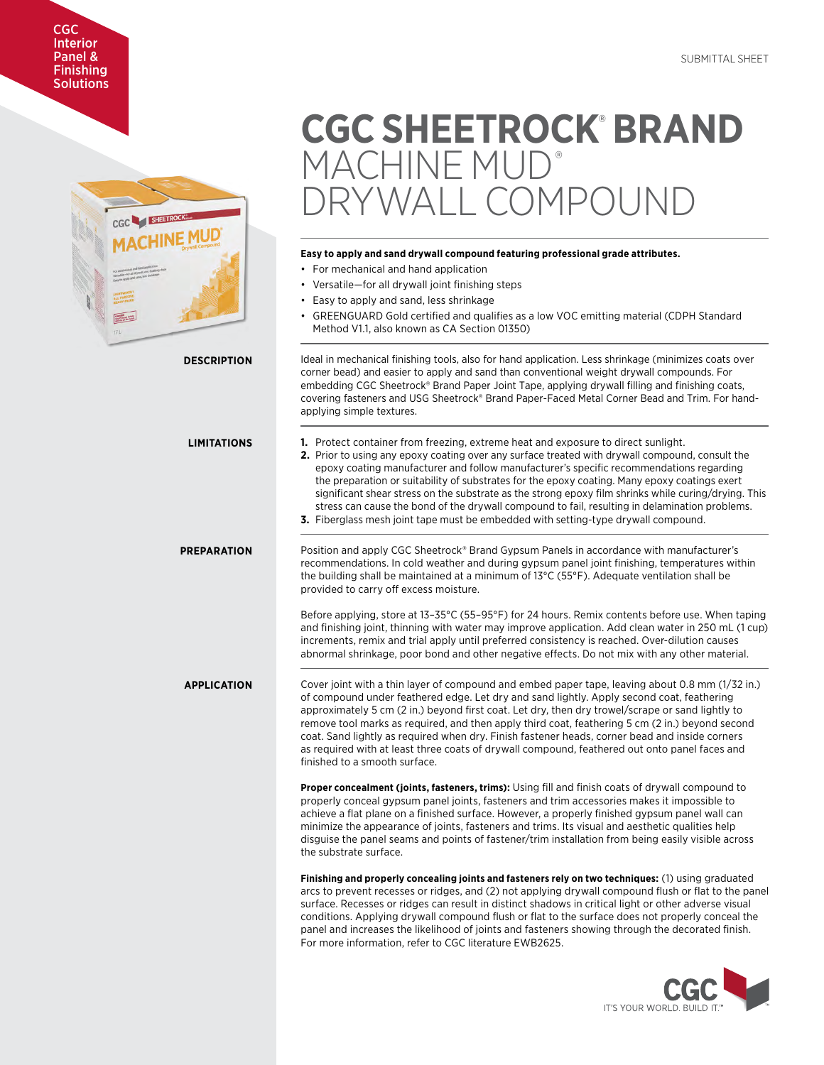# CGC Interior Panel & **Finishing Solutions**



# **CGC SHEETROCK**®  **BRAND**  MACHINE MUD® RYWALL COMPOUND

# **Easy to apply and sand drywall compound featuring professional grade attributes.**

- For mechanical and hand application
- Versatile—for all drywall joint finishing steps
- Easy to apply and sand, less shrinkage
- GREENGUARD Gold certified and qualifies as a low VOC emitting material (CDPH Standard Method V1.1, also known as CA Section 01350)

**DESCRIPTION** Ideal in mechanical finishing tools, also for hand application. Less shrinkage (minimizes coats over corner bead) and easier to apply and sand than conventional weight drywall compounds. For embedding CGC Sheetrock® Brand Paper Joint Tape, applying drywall filling and finishing coats, covering fasteners and USG Sheetrock® Brand Paper-Faced Metal Corner Bead and Trim. For handapplying simple textures.

- **LIMITATIONS 1.** Protect container from freezing, extreme heat and exposure to direct sunlight.
	- **2.** Prior to using any epoxy coating over any surface treated with drywall compound, consult the epoxy coating manufacturer and follow manufacturer's specific recommendations regarding the preparation or suitability of substrates for the epoxy coating. Many epoxy coatings exert significant shear stress on the substrate as the strong epoxy film shrinks while curing/drying. This stress can cause the bond of the drywall compound to fail, resulting in delamination problems.
	- **3.** Fiberglass mesh joint tape must be embedded with setting-type drywall compound.

**PREPARATION** Position and apply CGC Sheetrock® Brand Gypsum Panels in accordance with manufacturer's recommendations. In cold weather and during gypsum panel joint finishing, temperatures within the building shall be maintained at a minimum of 13°C (55°F). Adequate ventilation shall be provided to carry off excess moisture.

> Before applying, store at 13–35°C (55–95°F) for 24 hours. Remix contents before use. When taping and finishing joint, thinning with water may improve application. Add clean water in 250 mL (1 cup) increments, remix and trial apply until preferred consistency is reached. Over-dilution causes abnormal shrinkage, poor bond and other negative effects. Do not mix with any other material.

**APPLICATION** Cover joint with a thin layer of compound and embed paper tape, leaving about 0.8 mm (1/32 in.) of compound under feathered edge. Let dry and sand lightly. Apply second coat, feathering approximately 5 cm (2 in.) beyond first coat. Let dry, then dry trowel/scrape or sand lightly to remove tool marks as required, and then apply third coat, feathering 5 cm (2 in.) beyond second coat. Sand lightly as required when dry. Finish fastener heads, corner bead and inside corners as required with at least three coats of drywall compound, feathered out onto panel faces and finished to a smooth surface.

> **Proper concealment (joints, fasteners, trims):** Using fill and finish coats of drywall compound to properly conceal gypsum panel joints, fasteners and trim accessories makes it impossible to achieve a flat plane on a finished surface. However, a properly finished gypsum panel wall can minimize the appearance of joints, fasteners and trims. Its visual and aesthetic qualities help disguise the panel seams and points of fastener/trim installation from being easily visible across the substrate surface.

**Finishing and properly concealing joints and fasteners rely on two techniques:** (1) using graduated arcs to prevent recesses or ridges, and (2) not applying drywall compound flush or flat to the panel surface. Recesses or ridges can result in distinct shadows in critical light or other adverse visual conditions. Applying drywall compound flush or flat to the surface does not properly conceal the panel and increases the likelihood of joints and fasteners showing through the decorated finish. For more information, refer to CGC literature EWB2625.